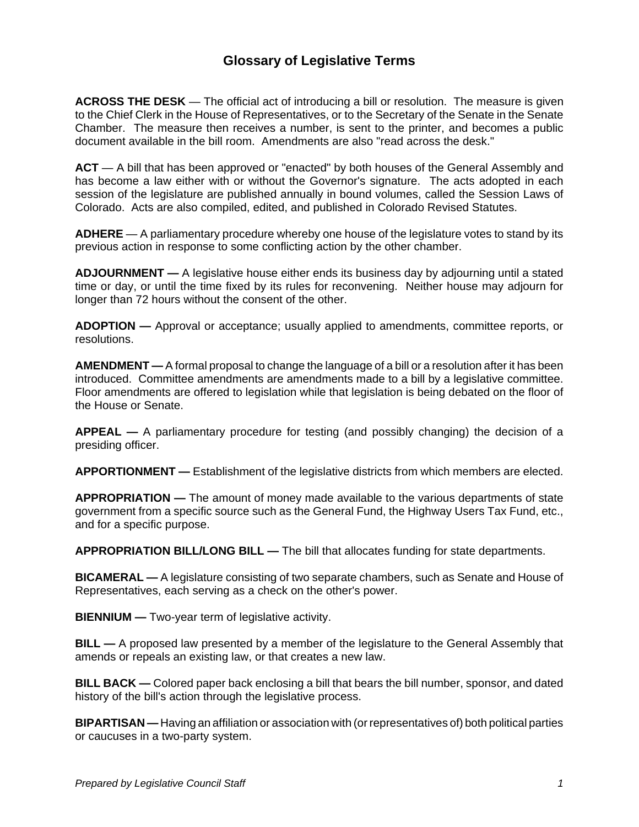#### **Glossary of Legislative Terms**

**ACROSS THE DESK** — The official act of introducing a bill or resolution. The measure is given to the Chief Clerk in the House of Representatives, or to the Secretary of the Senate in the Senate Chamber. The measure then receives a number, is sent to the printer, and becomes a public document available in the bill room. Amendments are also "read across the desk."

ACT — A bill that has been approved or "enacted" by both houses of the General Assembly and has become a law either with or without the Governor's signature. The acts adopted in each session of the legislature are published annually in bound volumes, called the Session Laws of Colorado. Acts are also compiled, edited, and published in Colorado Revised Statutes.

**ADHERE** — A parliamentary procedure whereby one house of the legislature votes to stand by its previous action in response to some conflicting action by the other chamber.

**ADJOURNMENT —** A legislative house either ends its business day by adjourning until a stated time or day, or until the time fixed by its rules for reconvening. Neither house may adjourn for longer than 72 hours without the consent of the other.

**ADOPTION —** Approval or acceptance; usually applied to amendments, committee reports, or resolutions.

**AMENDMENT —** A formal proposal to change the language of a bill or a resolution after it has been introduced. Committee amendments are amendments made to a bill by a legislative committee. Floor amendments are offered to legislation while that legislation is being debated on the floor of the House or Senate.

**APPEAL —** A parliamentary procedure for testing (and possibly changing) the decision of a presiding officer.

**APPORTIONMENT —** Establishment of the legislative districts from which members are elected.

**APPROPRIATION —** The amount of money made available to the various departments of state government from a specific source such as the General Fund, the Highway Users Tax Fund, etc., and for a specific purpose.

**APPROPRIATION BILL/LONG BILL —** The bill that allocates funding for state departments.

**BICAMERAL —** A legislature consisting of two separate chambers, such as Senate and House of Representatives, each serving as a check on the other's power.

**BIENNIUM** — Two-year term of legislative activity.

**BILL —** A proposed law presented by a member of the legislature to the General Assembly that amends or repeals an existing law, or that creates a new law.

**BILL BACK —** Colored paper back enclosing a bill that bears the bill number, sponsor, and dated history of the bill's action through the legislative process.

**BIPARTISAN —** Having an affiliation or association with (or representatives of) both political parties or caucuses in a two-party system.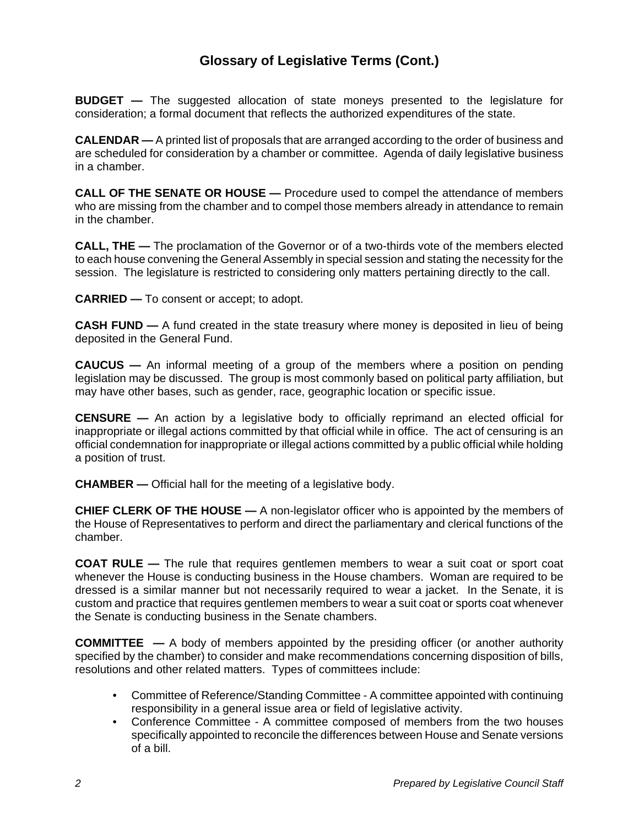**BUDGET —** The suggested allocation of state moneys presented to the legislature for consideration; a formal document that reflects the authorized expenditures of the state.

**CALENDAR —** A printed list of proposals that are arranged according to the order of business and are scheduled for consideration by a chamber or committee. Agenda of daily legislative business in a chamber.

**CALL OF THE SENATE OR HOUSE —** Procedure used to compel the attendance of members who are missing from the chamber and to compel those members already in attendance to remain in the chamber.

**CALL, THE —** The proclamation of the Governor or of a two-thirds vote of the members elected to each house convening the General Assembly in special session and stating the necessity for the session. The legislature is restricted to considering only matters pertaining directly to the call.

**CARRIED —** To consent or accept; to adopt.

**CASH FUND —** A fund created in the state treasury where money is deposited in lieu of being deposited in the General Fund.

**CAUCUS —** An informal meeting of a group of the members where a position on pending legislation may be discussed. The group is most commonly based on political party affiliation, but may have other bases, such as gender, race, geographic location or specific issue.

**CENSURE —** An action by a legislative body to officially reprimand an elected official for inappropriate or illegal actions committed by that official while in office. The act of censuring is an official condemnation for inappropriate or illegal actions committed by a public official while holding a position of trust.

**CHAMBER —** Official hall for the meeting of a legislative body.

**CHIEF CLERK OF THE HOUSE —** A non-legislator officer who is appointed by the members of the House of Representatives to perform and direct the parliamentary and clerical functions of the chamber.

**COAT RULE —** The rule that requires gentlemen members to wear a suit coat or sport coat whenever the House is conducting business in the House chambers. Woman are required to be dressed is a similar manner but not necessarily required to wear a jacket. In the Senate, it is custom and practice that requires gentlemen members to wear a suit coat or sports coat whenever the Senate is conducting business in the Senate chambers.

**COMMITTEE —** A body of members appointed by the presiding officer (or another authority specified by the chamber) to consider and make recommendations concerning disposition of bills, resolutions and other related matters. Types of committees include:

- Committee of Reference/Standing Committee A committee appointed with continuing responsibility in a general issue area or field of legislative activity.
- Conference Committee A committee composed of members from the two houses specifically appointed to reconcile the differences between House and Senate versions of a bill.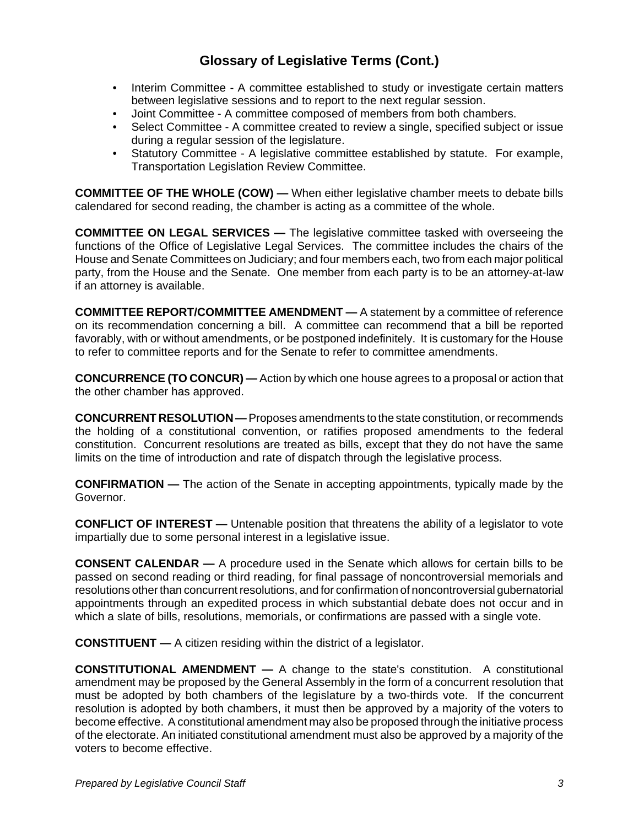- Interim Committee A committee established to study or investigate certain matters between legislative sessions and to report to the next regular session.
- Joint Committee A committee composed of members from both chambers.
- Select Committee A committee created to review a single, specified subject or issue during a regular session of the legislature.
- Statutory Committee A legislative committee established by statute. For example, Transportation Legislation Review Committee.

**COMMITTEE OF THE WHOLE (COW) —** When either legislative chamber meets to debate bills calendared for second reading, the chamber is acting as a committee of the whole.

**COMMITTEE ON LEGAL SERVICES —** The legislative committee tasked with overseeing the functions of the Office of Legislative Legal Services. The committee includes the chairs of the House and Senate Committees on Judiciary; and four members each, two from each major political party, from the House and the Senate. One member from each party is to be an attorney-at-law if an attorney is available.

**COMMITTEE REPORT/COMMITTEE AMENDMENT —** A statement by a committee of reference on its recommendation concerning a bill. A committee can recommend that a bill be reported favorably, with or without amendments, or be postponed indefinitely. It is customary for the House to refer to committee reports and for the Senate to refer to committee amendments.

**CONCURRENCE (TO CONCUR) —** Action by which one house agrees to a proposal or action that the other chamber has approved.

**CONCURRENT RESOLUTION —** Proposes amendments to the state constitution, or recommends the holding of a constitutional convention, or ratifies proposed amendments to the federal constitution. Concurrent resolutions are treated as bills, except that they do not have the same limits on the time of introduction and rate of dispatch through the legislative process.

**CONFIRMATION —** The action of the Senate in accepting appointments, typically made by the Governor.

**CONFLICT OF INTEREST —** Untenable position that threatens the ability of a legislator to vote impartially due to some personal interest in a legislative issue.

**CONSENT CALENDAR —** A procedure used in the Senate which allows for certain bills to be passed on second reading or third reading, for final passage of noncontroversial memorials and resolutions other than concurrent resolutions, and for confirmation of noncontroversial gubernatorial appointments through an expedited process in which substantial debate does not occur and in which a slate of bills, resolutions, memorials, or confirmations are passed with a single vote.

**CONSTITUENT —** A citizen residing within the district of a legislator.

**CONSTITUTIONAL AMENDMENT —** A change to the state's constitution. A constitutional amendment may be proposed by the General Assembly in the form of a concurrent resolution that must be adopted by both chambers of the legislature by a two-thirds vote. If the concurrent resolution is adopted by both chambers, it must then be approved by a majority of the voters to become effective. A constitutional amendment may also be proposed through the initiative process of the electorate. An initiated constitutional amendment must also be approved by a majority of the voters to become effective.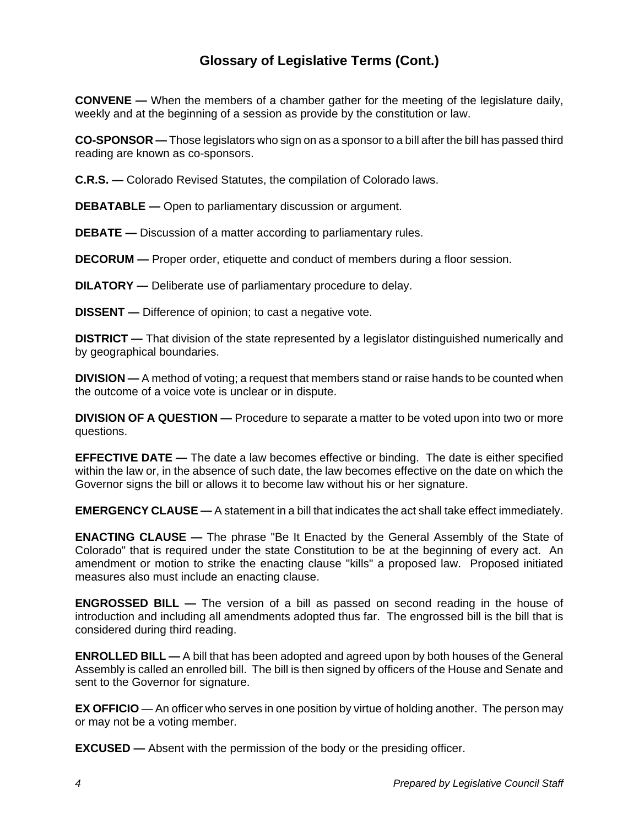**CONVENE —** When the members of a chamber gather for the meeting of the legislature daily, weekly and at the beginning of a session as provide by the constitution or law.

**CO-SPONSOR —** Those legislators who sign on as a sponsor to a bill after the bill has passed third reading are known as co-sponsors.

**C.R.S. —** Colorado Revised Statutes, the compilation of Colorado laws.

**DEBATABLE —** Open to parliamentary discussion or argument.

**DEBATE —** Discussion of a matter according to parliamentary rules.

**DECORUM —** Proper order, etiquette and conduct of members during a floor session.

**DILATORY —** Deliberate use of parliamentary procedure to delay.

**DISSENT —** Difference of opinion; to cast a negative vote.

**DISTRICT** — That division of the state represented by a legislator distinguished numerically and by geographical boundaries.

**DIVISION —** A method of voting; a request that members stand or raise hands to be counted when the outcome of a voice vote is unclear or in dispute.

**DIVISION OF A QUESTION —** Procedure to separate a matter to be voted upon into two or more questions.

**EFFECTIVE DATE —** The date a law becomes effective or binding. The date is either specified within the law or, in the absence of such date, the law becomes effective on the date on which the Governor signs the bill or allows it to become law without his or her signature.

**EMERGENCY CLAUSE —** A statement in a bill that indicates the act shall take effect immediately.

**ENACTING CLAUSE —** The phrase "Be It Enacted by the General Assembly of the State of Colorado" that is required under the state Constitution to be at the beginning of every act. An amendment or motion to strike the enacting clause "kills" a proposed law. Proposed initiated measures also must include an enacting clause.

**ENGROSSED BILL —** The version of a bill as passed on second reading in the house of introduction and including all amendments adopted thus far. The engrossed bill is the bill that is considered during third reading.

**ENROLLED BILL —** A bill that has been adopted and agreed upon by both houses of the General Assembly is called an enrolled bill. The bill is then signed by officers of the House and Senate and sent to the Governor for signature.

**EX OFFICIO** — An officer who serves in one position by virtue of holding another. The person may or may not be a voting member.

**EXCUSED —** Absent with the permission of the body or the presiding officer.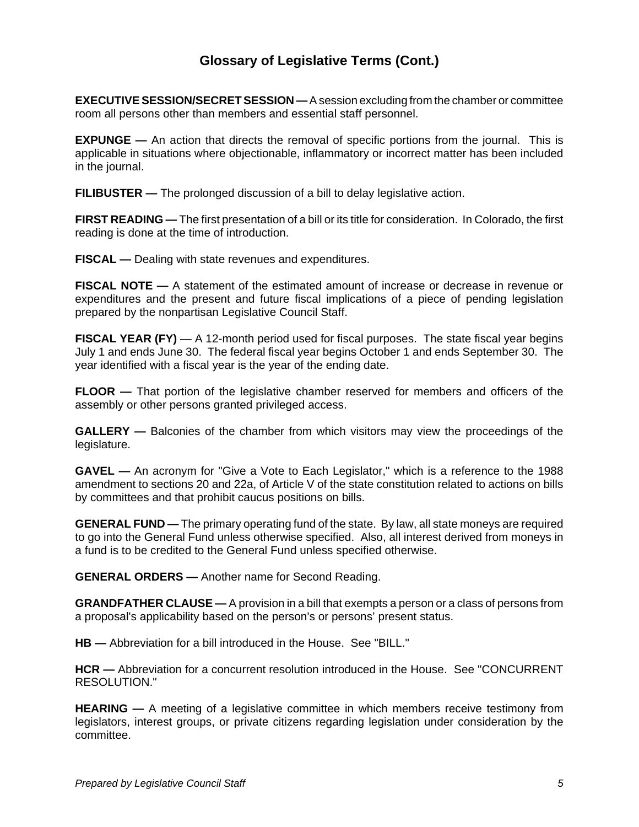**EXECUTIVE SESSION/SECRET SESSION —** A session excluding from the chamber or committee room all persons other than members and essential staff personnel.

**EXPUNGE** — An action that directs the removal of specific portions from the journal. This is applicable in situations where objectionable, inflammatory or incorrect matter has been included in the journal.

**FILIBUSTER —** The prolonged discussion of a bill to delay legislative action.

**FIRST READING —** The first presentation of a bill or its title for consideration. In Colorado, the first reading is done at the time of introduction.

**FISCAL —** Dealing with state revenues and expenditures.

**FISCAL NOTE —** A statement of the estimated amount of increase or decrease in revenue or expenditures and the present and future fiscal implications of a piece of pending legislation prepared by the nonpartisan Legislative Council Staff.

**FISCAL YEAR (FY)** — A 12-month period used for fiscal purposes. The state fiscal year begins July 1 and ends June 30. The federal fiscal year begins October 1 and ends September 30. The year identified with a fiscal year is the year of the ending date.

**FLOOR —** That portion of the legislative chamber reserved for members and officers of the assembly or other persons granted privileged access.

**GALLERY** — Balconies of the chamber from which visitors may view the proceedings of the legislature.

**GAVEL —** An acronym for "Give a Vote to Each Legislator," which is a reference to the 1988 amendment to sections 20 and 22a, of Article V of the state constitution related to actions on bills by committees and that prohibit caucus positions on bills.

**GENERAL FUND —** The primary operating fund of the state. By law, all state moneys are required to go into the General Fund unless otherwise specified. Also, all interest derived from moneys in a fund is to be credited to the General Fund unless specified otherwise.

**GENERAL ORDERS —** Another name for Second Reading.

**GRANDFATHER CLAUSE —** A provision in a bill that exempts a person or a class of persons from a proposal's applicability based on the person's or persons' present status.

**HB —** Abbreviation for a bill introduced in the House. See "BILL."

**HCR —** Abbreviation for a concurrent resolution introduced in the House. See "CONCURRENT RESOLUTION."

**HEARING —** A meeting of a legislative committee in which members receive testimony from legislators, interest groups, or private citizens regarding legislation under consideration by the committee.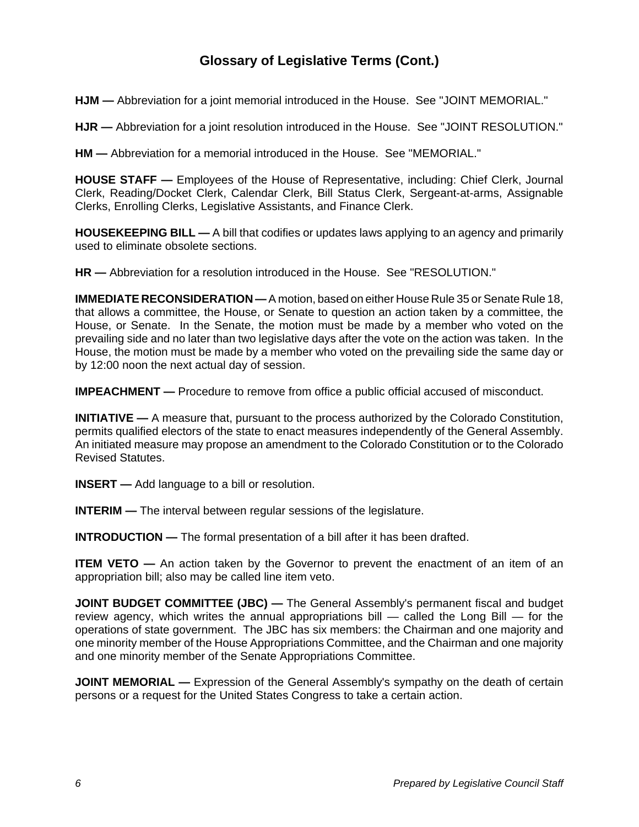**HJM —** Abbreviation for a joint memorial introduced in the House. See "JOINT MEMORIAL."

**HJR —** Abbreviation for a joint resolution introduced in the House. See "JOINT RESOLUTION."

**HM —** Abbreviation for a memorial introduced in the House. See "MEMORIAL."

**HOUSE STAFF —** Employees of the House of Representative, including: Chief Clerk, Journal Clerk, Reading/Docket Clerk, Calendar Clerk, Bill Status Clerk, Sergeant-at-arms, Assignable Clerks, Enrolling Clerks, Legislative Assistants, and Finance Clerk.

**HOUSEKEEPING BILL —** A bill that codifies or updates laws applying to an agency and primarily used to eliminate obsolete sections.

**HR —** Abbreviation for a resolution introduced in the House. See "RESOLUTION."

**IMMEDIATE RECONSIDERATION —** A motion, based on either House Rule 35 or Senate Rule 18, that allows a committee, the House, or Senate to question an action taken by a committee, the House, or Senate. In the Senate, the motion must be made by a member who voted on the prevailing side and no later than two legislative days after the vote on the action was taken. In the House, the motion must be made by a member who voted on the prevailing side the same day or by 12:00 noon the next actual day of session.

**IMPEACHMENT** — Procedure to remove from office a public official accused of misconduct.

**INITIATIVE** — A measure that, pursuant to the process authorized by the Colorado Constitution, permits qualified electors of the state to enact measures independently of the General Assembly. An initiated measure may propose an amendment to the Colorado Constitution or to the Colorado Revised Statutes.

**INSERT —** Add language to a bill or resolution.

**INTERIM** — The interval between regular sessions of the legislature.

**INTRODUCTION —** The formal presentation of a bill after it has been drafted.

**ITEM VETO** — An action taken by the Governor to prevent the enactment of an item of an appropriation bill; also may be called line item veto.

**JOINT BUDGET COMMITTEE (JBC)** — The General Assembly's permanent fiscal and budget review agency, which writes the annual appropriations bill — called the Long Bill — for the operations of state government. The JBC has six members: the Chairman and one majority and one minority member of the House Appropriations Committee, and the Chairman and one majority and one minority member of the Senate Appropriations Committee.

**JOINT MEMORIAL** — Expression of the General Assembly's sympathy on the death of certain persons or a request for the United States Congress to take a certain action.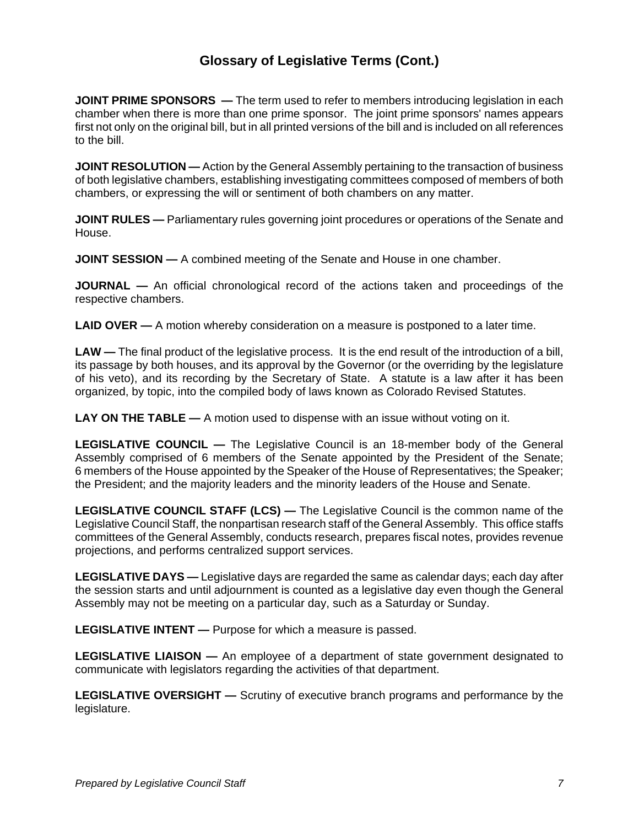**JOINT PRIME SPONSORS** — The term used to refer to members introducing legislation in each chamber when there is more than one prime sponsor. The joint prime sponsors' names appears first not only on the original bill, but in all printed versions of the bill and is included on all references to the bill.

**JOINT RESOLUTION** — Action by the General Assembly pertaining to the transaction of business of both legislative chambers, establishing investigating committees composed of members of both chambers, or expressing the will or sentiment of both chambers on any matter.

**JOINT RULES** — Parliamentary rules governing joint procedures or operations of the Senate and House.

**JOINT SESSION —** A combined meeting of the Senate and House in one chamber.

**JOURNAL —** An official chronological record of the actions taken and proceedings of the respective chambers.

**LAID OVER —** A motion whereby consideration on a measure is postponed to a later time.

LAW — The final product of the legislative process. It is the end result of the introduction of a bill, its passage by both houses, and its approval by the Governor (or the overriding by the legislature of his veto), and its recording by the Secretary of State. A statute is a law after it has been organized, by topic, into the compiled body of laws known as Colorado Revised Statutes.

**LAY ON THE TABLE —** A motion used to dispense with an issue without voting on it.

**LEGISLATIVE COUNCIL —** The Legislative Council is an 18-member body of the General Assembly comprised of 6 members of the Senate appointed by the President of the Senate; 6 members of the House appointed by the Speaker of the House of Representatives; the Speaker; the President; and the majority leaders and the minority leaders of the House and Senate.

**LEGISLATIVE COUNCIL STAFF (LCS) —** The Legislative Council is the common name of the Legislative Council Staff, the nonpartisan research staff of the General Assembly. This office staffs committees of the General Assembly, conducts research, prepares fiscal notes, provides revenue projections, and performs centralized support services.

**LEGISLATIVE DAYS —** Legislative days are regarded the same as calendar days; each day after the session starts and until adjournment is counted as a legislative day even though the General Assembly may not be meeting on a particular day, such as a Saturday or Sunday.

**LEGISLATIVE INTENT —** Purpose for which a measure is passed.

**LEGISLATIVE LIAISON —** An employee of a department of state government designated to communicate with legislators regarding the activities of that department.

**LEGISLATIVE OVERSIGHT —** Scrutiny of executive branch programs and performance by the legislature.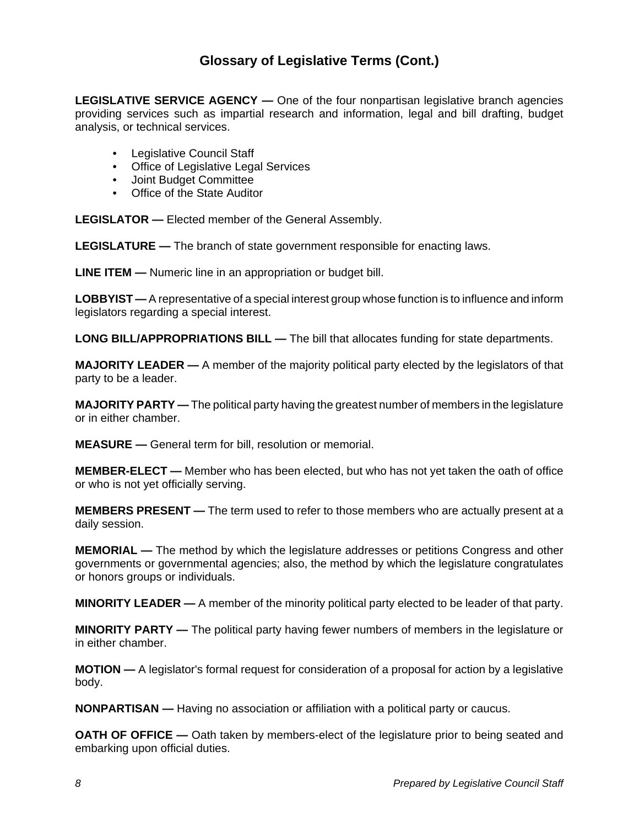**LEGISLATIVE SERVICE AGENCY —** One of the four nonpartisan legislative branch agencies providing services such as impartial research and information, legal and bill drafting, budget analysis, or technical services.

- Legislative Council Staff
- Office of Legislative Legal Services
- Joint Budget Committee
- Office of the State Auditor

**LEGISLATOR —** Elected member of the General Assembly.

**LEGISLATURE —** The branch of state government responsible for enacting laws.

**LINE ITEM —** Numeric line in an appropriation or budget bill.

**LOBBYIST —** A representative of a special interest group whose function is to influence and inform legislators regarding a special interest.

**LONG BILL/APPROPRIATIONS BILL —** The bill that allocates funding for state departments.

**MAJORITY LEADER —** A member of the majority political party elected by the legislators of that party to be a leader.

**MAJORITY PARTY —** The political party having the greatest number of members in the legislature or in either chamber.

**MEASURE —** General term for bill, resolution or memorial.

**MEMBER-ELECT —** Member who has been elected, but who has not yet taken the oath of office or who is not yet officially serving.

**MEMBERS PRESENT —** The term used to refer to those members who are actually present at a daily session.

**MEMORIAL —** The method by which the legislature addresses or petitions Congress and other governments or governmental agencies; also, the method by which the legislature congratulates or honors groups or individuals.

**MINORITY LEADER —** A member of the minority political party elected to be leader of that party.

**MINORITY PARTY —** The political party having fewer numbers of members in the legislature or in either chamber.

**MOTION —** A legislator's formal request for consideration of a proposal for action by a legislative body.

**NONPARTISAN —** Having no association or affiliation with a political party or caucus.

**OATH OF OFFICE** — Oath taken by members-elect of the legislature prior to being seated and embarking upon official duties.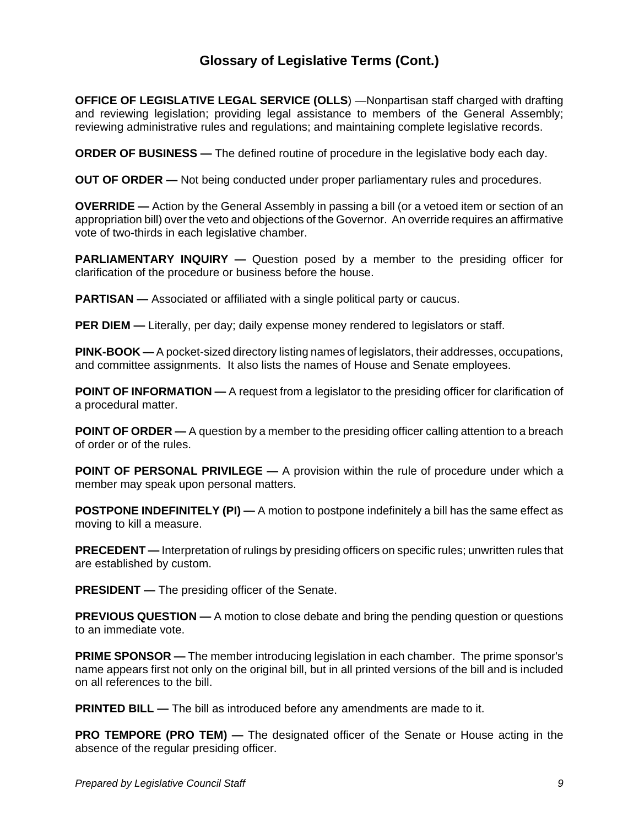**OFFICE OF LEGISLATIVE LEGAL SERVICE (OLLS)** —Nonpartisan staff charged with drafting and reviewing legislation; providing legal assistance to members of the General Assembly; reviewing administrative rules and regulations; and maintaining complete legislative records.

**ORDER OF BUSINESS —** The defined routine of procedure in the legislative body each day.

**OUT OF ORDER —** Not being conducted under proper parliamentary rules and procedures.

**OVERRIDE —** Action by the General Assembly in passing a bill (or a vetoed item or section of an appropriation bill) over the veto and objections of the Governor. An override requires an affirmative vote of two-thirds in each legislative chamber.

**PARLIAMENTARY INQUIRY —** Question posed by a member to the presiding officer for clarification of the procedure or business before the house.

**PARTISAN** — Associated or affiliated with a single political party or caucus.

**PER DIEM** — Literally, per day; daily expense money rendered to legislators or staff.

**PINK-BOOK —** A pocket-sized directory listing names of legislators, their addresses, occupations, and committee assignments. It also lists the names of House and Senate employees.

**POINT OF INFORMATION —** A request from a legislator to the presiding officer for clarification of a procedural matter.

**POINT OF ORDER** — A question by a member to the presiding officer calling attention to a breach of order or of the rules.

**POINT OF PERSONAL PRIVILEGE —** A provision within the rule of procedure under which a member may speak upon personal matters.

**POSTPONE INDEFINITELY (PI) —** A motion to postpone indefinitely a bill has the same effect as moving to kill a measure.

**PRECEDENT —** Interpretation of rulings by presiding officers on specific rules; unwritten rules that are established by custom.

**PRESIDENT —** The presiding officer of the Senate.

**PREVIOUS QUESTION —** A motion to close debate and bring the pending question or questions to an immediate vote.

**PRIME SPONSOR —** The member introducing legislation in each chamber. The prime sponsor's name appears first not only on the original bill, but in all printed versions of the bill and is included on all references to the bill.

**PRINTED BILL —** The bill as introduced before any amendments are made to it.

**PRO TEMPORE (PRO TEM) —** The designated officer of the Senate or House acting in the absence of the regular presiding officer.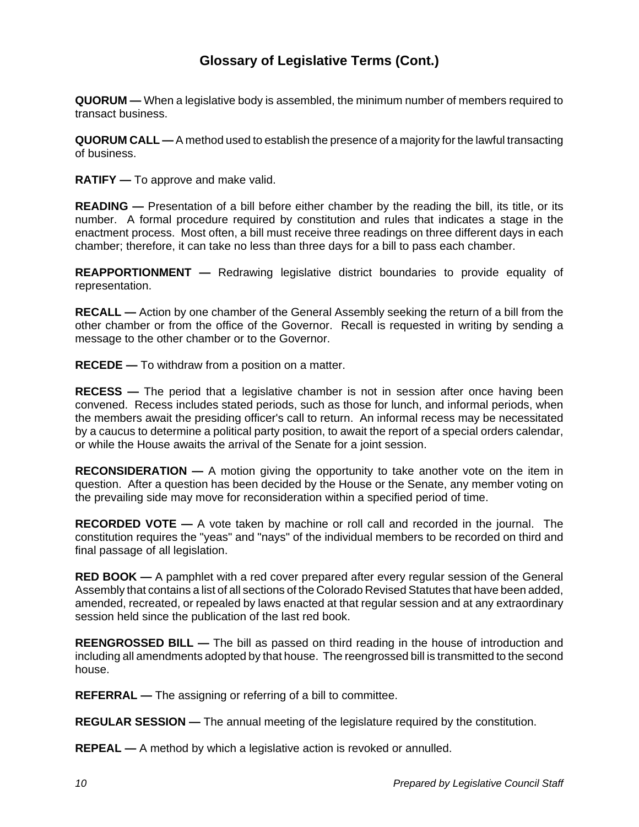**QUORUM —** When a legislative body is assembled, the minimum number of members required to transact business.

**QUORUM CALL —** A method used to establish the presence of a majority for the lawful transacting of business.

**RATIFY —** To approve and make valid.

**READING —** Presentation of a bill before either chamber by the reading the bill, its title, or its number. A formal procedure required by constitution and rules that indicates a stage in the enactment process. Most often, a bill must receive three readings on three different days in each chamber; therefore, it can take no less than three days for a bill to pass each chamber.

**REAPPORTIONMENT —** Redrawing legislative district boundaries to provide equality of representation.

**RECALL —** Action by one chamber of the General Assembly seeking the return of a bill from the other chamber or from the office of the Governor. Recall is requested in writing by sending a message to the other chamber or to the Governor.

**RECEDE —** To withdraw from a position on a matter.

**RECESS —** The period that a legislative chamber is not in session after once having been convened. Recess includes stated periods, such as those for lunch, and informal periods, when the members await the presiding officer's call to return. An informal recess may be necessitated by a caucus to determine a political party position, to await the report of a special orders calendar, or while the House awaits the arrival of the Senate for a joint session.

**RECONSIDERATION —** A motion giving the opportunity to take another vote on the item in question. After a question has been decided by the House or the Senate, any member voting on the prevailing side may move for reconsideration within a specified period of time.

**RECORDED VOTE —** A vote taken by machine or roll call and recorded in the journal. The constitution requires the "yeas" and "nays" of the individual members to be recorded on third and final passage of all legislation.

**RED BOOK —** A pamphlet with a red cover prepared after every regular session of the General Assembly that contains a list of all sections of the Colorado Revised Statutes that have been added, amended, recreated, or repealed by laws enacted at that regular session and at any extraordinary session held since the publication of the last red book.

**REENGROSSED BILL —** The bill as passed on third reading in the house of introduction and including all amendments adopted by that house. The reengrossed bill is transmitted to the second house.

**REFERRAL —** The assigning or referring of a bill to committee.

**REGULAR SESSION —** The annual meeting of the legislature required by the constitution.

**REPEAL —** A method by which a legislative action is revoked or annulled.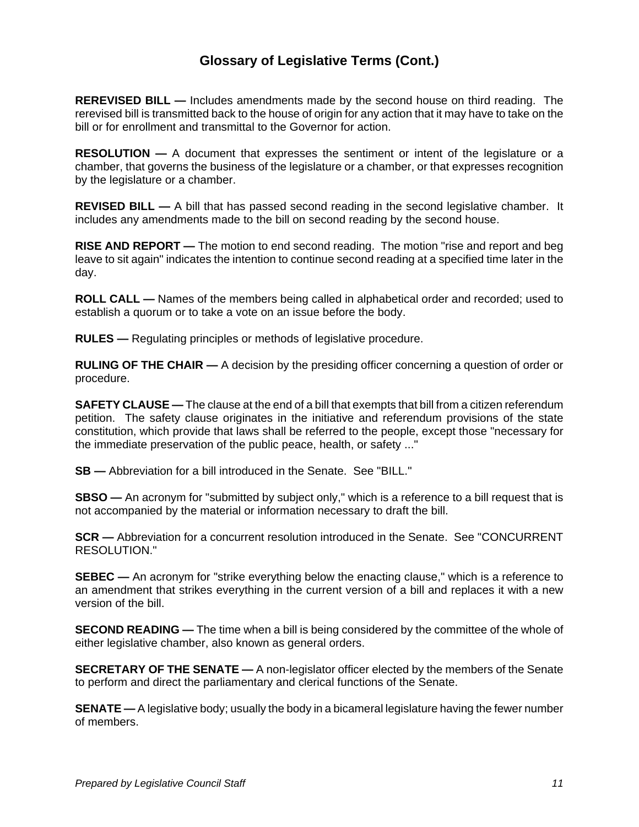**REREVISED BILL —** Includes amendments made by the second house on third reading. The rerevised bill is transmitted back to the house of origin for any action that it may have to take on the bill or for enrollment and transmittal to the Governor for action.

**RESOLUTION —** A document that expresses the sentiment or intent of the legislature or a chamber, that governs the business of the legislature or a chamber, or that expresses recognition by the legislature or a chamber.

**REVISED BILL —** A bill that has passed second reading in the second legislative chamber. It includes any amendments made to the bill on second reading by the second house.

**RISE AND REPORT —** The motion to end second reading. The motion "rise and report and beg leave to sit again" indicates the intention to continue second reading at a specified time later in the day.

**ROLL CALL —** Names of the members being called in alphabetical order and recorded; used to establish a quorum or to take a vote on an issue before the body.

**RULES —** Regulating principles or methods of legislative procedure.

**RULING OF THE CHAIR —** A decision by the presiding officer concerning a question of order or procedure.

**SAFETY CLAUSE —** The clause at the end of a bill that exempts that bill from a citizen referendum petition. The safety clause originates in the initiative and referendum provisions of the state constitution, which provide that laws shall be referred to the people, except those "necessary for the immediate preservation of the public peace, health, or safety ..."

**SB —** Abbreviation for a bill introduced in the Senate. See "BILL."

**SBSO —** An acronym for "submitted by subject only," which is a reference to a bill request that is not accompanied by the material or information necessary to draft the bill.

**SCR —** Abbreviation for a concurrent resolution introduced in the Senate. See "CONCURRENT RESOLUTION."

**SEBEC —** An acronym for "strike everything below the enacting clause," which is a reference to an amendment that strikes everything in the current version of a bill and replaces it with a new version of the bill.

**SECOND READING —** The time when a bill is being considered by the committee of the whole of either legislative chamber, also known as general orders.

**SECRETARY OF THE SENATE —** A non-legislator officer elected by the members of the Senate to perform and direct the parliamentary and clerical functions of the Senate.

**SENATE —** A legislative body; usually the body in a bicameral legislature having the fewer number of members.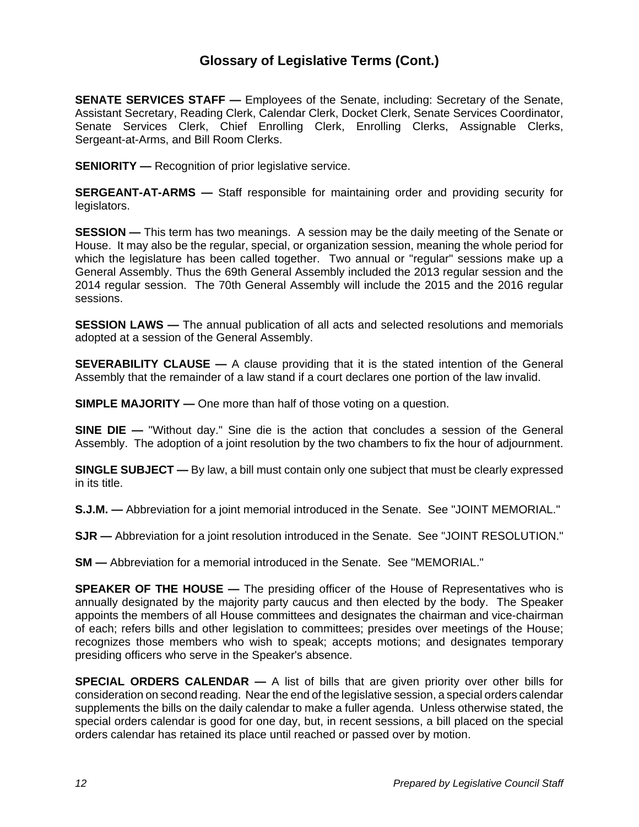**SENATE SERVICES STAFF —** Employees of the Senate, including: Secretary of the Senate, Assistant Secretary, Reading Clerk, Calendar Clerk, Docket Clerk, Senate Services Coordinator, Senate Services Clerk, Chief Enrolling Clerk, Enrolling Clerks, Assignable Clerks, Sergeant-at-Arms, and Bill Room Clerks.

**SENIORITY** — Recognition of prior legislative service.

**SERGEANT-AT-ARMS —** Staff responsible for maintaining order and providing security for legislators.

**SESSION —** This term has two meanings. A session may be the daily meeting of the Senate or House. It may also be the regular, special, or organization session, meaning the whole period for which the legislature has been called together. Two annual or "regular" sessions make up a General Assembly. Thus the 69th General Assembly included the 2013 regular session and the 2014 regular session. The 70th General Assembly will include the 2015 and the 2016 regular sessions.

**SESSION LAWS —** The annual publication of all acts and selected resolutions and memorials adopted at a session of the General Assembly.

**SEVERABILITY CLAUSE —** A clause providing that it is the stated intention of the General Assembly that the remainder of a law stand if a court declares one portion of the law invalid.

**SIMPLE MAJORITY** — One more than half of those voting on a question.

**SINE DIE —** "Without day." Sine die is the action that concludes a session of the General Assembly. The adoption of a joint resolution by the two chambers to fix the hour of adjournment.

**SINGLE SUBJECT —** By law, a bill must contain only one subject that must be clearly expressed in its title.

**S.J.M. —** Abbreviation for a joint memorial introduced in the Senate. See "JOINT MEMORIAL."

**SJR —** Abbreviation for a joint resolution introduced in the Senate. See "JOINT RESOLUTION."

**SM —** Abbreviation for a memorial introduced in the Senate. See "MEMORIAL."

**SPEAKER OF THE HOUSE —** The presiding officer of the House of Representatives who is annually designated by the majority party caucus and then elected by the body. The Speaker appoints the members of all House committees and designates the chairman and vice-chairman of each; refers bills and other legislation to committees; presides over meetings of the House; recognizes those members who wish to speak; accepts motions; and designates temporary presiding officers who serve in the Speaker's absence.

**SPECIAL ORDERS CALENDAR —** A list of bills that are given priority over other bills for consideration on second reading. Near the end of the legislative session, a special orders calendar supplements the bills on the daily calendar to make a fuller agenda. Unless otherwise stated, the special orders calendar is good for one day, but, in recent sessions, a bill placed on the special orders calendar has retained its place until reached or passed over by motion.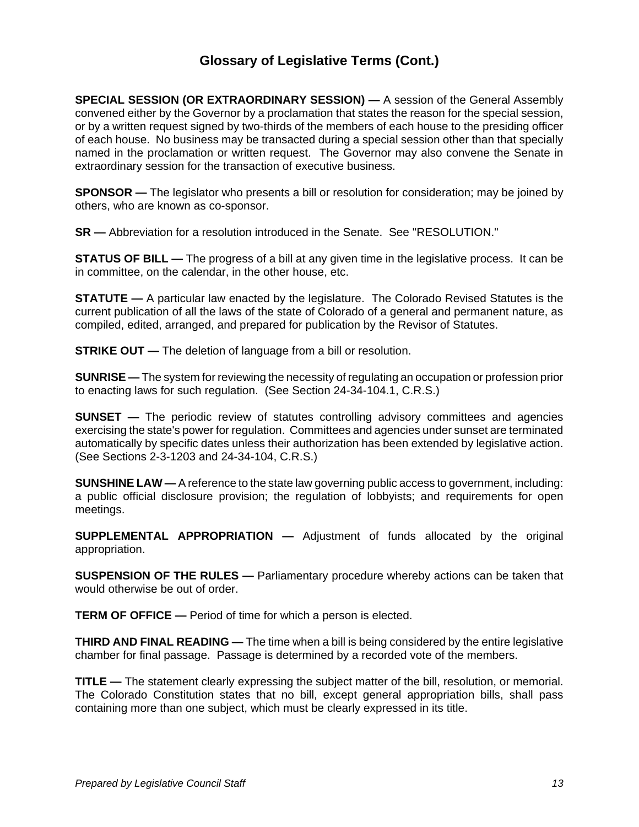**SPECIAL SESSION (OR EXTRAORDINARY SESSION) —** A session of the General Assembly convened either by the Governor by a proclamation that states the reason for the special session, or by a written request signed by two-thirds of the members of each house to the presiding officer of each house. No business may be transacted during a special session other than that specially named in the proclamation or written request. The Governor may also convene the Senate in extraordinary session for the transaction of executive business.

**SPONSOR —** The legislator who presents a bill or resolution for consideration; may be joined by others, who are known as co-sponsor.

**SR —** Abbreviation for a resolution introduced in the Senate. See "RESOLUTION."

**STATUS OF BILL —** The progress of a bill at any given time in the legislative process. It can be in committee, on the calendar, in the other house, etc.

**STATUTE —** A particular law enacted by the legislature. The Colorado Revised Statutes is the current publication of all the laws of the state of Colorado of a general and permanent nature, as compiled, edited, arranged, and prepared for publication by the Revisor of Statutes.

**STRIKE OUT** — The deletion of language from a bill or resolution.

**SUNRISE —** The system for reviewing the necessity of regulating an occupation or profession prior to enacting laws for such regulation. (See Section 24-34-104.1, C.R.S.)

**SUNSET** — The periodic review of statutes controlling advisory committees and agencies exercising the state's power for regulation. Committees and agencies under sunset are terminated automatically by specific dates unless their authorization has been extended by legislative action. (See Sections 2-3-1203 and 24-34-104, C.R.S.)

**SUNSHINE LAW —** A reference to the state law governing public access to government, including: a public official disclosure provision; the regulation of lobbyists; and requirements for open meetings.

**SUPPLEMENTAL APPROPRIATION —** Adjustment of funds allocated by the original appropriation.

**SUSPENSION OF THE RULES —** Parliamentary procedure whereby actions can be taken that would otherwise be out of order.

**TERM OF OFFICE —** Period of time for which a person is elected.

**THIRD AND FINAL READING —** The time when a bill is being considered by the entire legislative chamber for final passage. Passage is determined by a recorded vote of the members.

**TITLE —** The statement clearly expressing the subject matter of the bill, resolution, or memorial. The Colorado Constitution states that no bill, except general appropriation bills, shall pass containing more than one subject, which must be clearly expressed in its title.